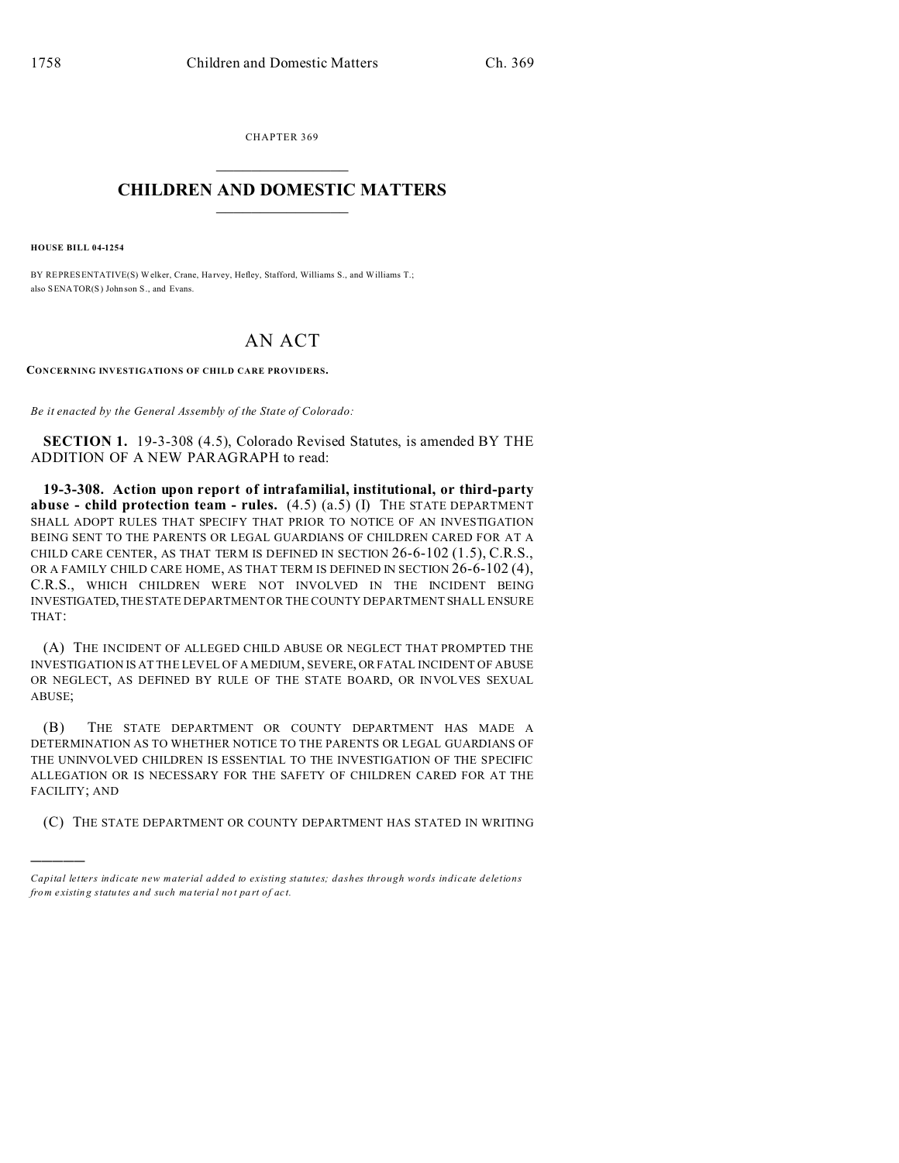CHAPTER 369  $\overline{\phantom{a}}$  , where  $\overline{\phantom{a}}$ 

## **CHILDREN AND DOMESTIC MATTERS**  $\_$   $\_$

**HOUSE BILL 04-1254**

)))))

BY REPRESENTATIVE(S) Welker, Crane, Harvey, Hefley, Stafford, Williams S., and Williams T.; also SENATOR(S) John son S., and Evans.

## AN ACT

**CONCERNING INVESTIGATIONS OF CHILD CARE PROVIDERS.**

*Be it enacted by the General Assembly of the State of Colorado:*

**SECTION 1.** 19-3-308 (4.5), Colorado Revised Statutes, is amended BY THE ADDITION OF A NEW PARAGRAPH to read:

**19-3-308. Action upon report of intrafamilial, institutional, or third-party abuse - child protection team - rules.** (4.5) (a.5) (I) THE STATE DEPARTMENT SHALL ADOPT RULES THAT SPECIFY THAT PRIOR TO NOTICE OF AN INVESTIGATION BEING SENT TO THE PARENTS OR LEGAL GUARDIANS OF CHILDREN CARED FOR AT A CHILD CARE CENTER, AS THAT TERM IS DEFINED IN SECTION 26-6-102 (1.5), C.R.S., OR A FAMILY CHILD CARE HOME, AS THAT TERM IS DEFINED IN SECTION 26-6-102 (4), C.R.S., WHICH CHILDREN WERE NOT INVOLVED IN THE INCIDENT BEING INVESTIGATED,THESTATE DEPARTMENT OR THE COUNTY DEPARTMENT SHALL ENSURE THAT:

(A) THE INCIDENT OF ALLEGED CHILD ABUSE OR NEGLECT THAT PROMPTED THE INVESTIGATION IS AT THE LEVEL OF A MEDIUM, SEVERE, OR FATAL INCIDENT OF ABUSE OR NEGLECT, AS DEFINED BY RULE OF THE STATE BOARD, OR INVOLVES SEXUAL ABUSE;

(B) THE STATE DEPARTMENT OR COUNTY DEPARTMENT HAS MADE A DETERMINATION AS TO WHETHER NOTICE TO THE PARENTS OR LEGAL GUARDIANS OF THE UNINVOLVED CHILDREN IS ESSENTIAL TO THE INVESTIGATION OF THE SPECIFIC ALLEGATION OR IS NECESSARY FOR THE SAFETY OF CHILDREN CARED FOR AT THE FACILITY; AND

(C) THE STATE DEPARTMENT OR COUNTY DEPARTMENT HAS STATED IN WRITING

*Capital letters indicate new material added to existing statutes; dashes through words indicate deletions from e xistin g statu tes a nd such ma teria l no t pa rt of ac t.*